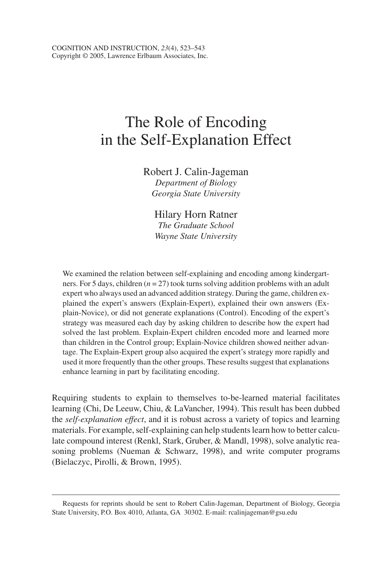# The Role of Encoding in the Self-Explanation Effect

Robert J. Calin-Jageman

*Department of Biology Georgia State University*

Hilary Horn Ratner

*The Graduate School Wayne State University*

We examined the relation between self-explaining and encoding among kindergartners. For 5 days, children  $(n = 27)$  took turns solving addition problems with an adult expert who always used an advanced addition strategy. During the game, children explained the expert's answers (Explain-Expert), explained their own answers (Explain-Novice), or did not generate explanations (Control). Encoding of the expert's strategy was measured each day by asking children to describe how the expert had solved the last problem. Explain-Expert children encoded more and learned more than children in the Control group; Explain-Novice children showed neither advantage. The Explain-Expert group also acquired the expert's strategy more rapidly and used it more frequently than the other groups. These results suggest that explanations enhance learning in part by facilitating encoding.

Requiring students to explain to themselves to-be-learned material facilitates learning (Chi, De Leeuw, Chiu, & LaVancher, 1994). This result has been dubbed the *self-explanation effect*, and it is robust across a variety of topics and learning materials. For example, self-explaining can help students learn how to better calculate compound interest (Renkl, Stark, Gruber, & Mandl, 1998), solve analytic reasoning problems (Nueman & Schwarz, 1998), and write computer programs (Bielaczyc, Pirolli, & Brown, 1995).

Requests for reprints should be sent to Robert Calin-Jageman, Department of Biology, Georgia State University, P.O. Box 4010, Atlanta, GA 30302. E-mail: rcalinjageman@gsu.edu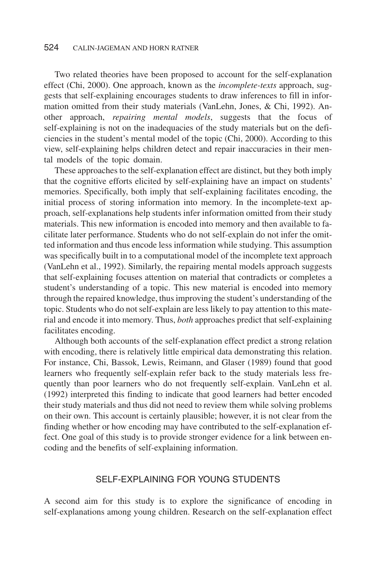#### 524 CALIN-JAGEMAN AND HORN RATNER

Two related theories have been proposed to account for the self-explanation effect (Chi, 2000). One approach, known as the *incomplete-texts* approach, suggests that self-explaining encourages students to draw inferences to fill in information omitted from their study materials (VanLehn, Jones, & Chi, 1992). Another approach, *repairing mental models*, suggests that the focus of self-explaining is not on the inadequacies of the study materials but on the deficiencies in the student's mental model of the topic (Chi, 2000). According to this view, self-explaining helps children detect and repair inaccuracies in their mental models of the topic domain.

These approaches to the self-explanation effect are distinct, but they both imply that the cognitive efforts elicited by self-explaining have an impact on students' memories. Specifically, both imply that self-explaining facilitates encoding, the initial process of storing information into memory. In the incomplete-text approach, self-explanations help students infer information omitted from their study materials. This new information is encoded into memory and then available to facilitate later performance. Students who do not self-explain do not infer the omitted information and thus encode less information while studying. This assumption was specifically built in to a computational model of the incomplete text approach (VanLehn et al., 1992). Similarly, the repairing mental models approach suggests that self-explaining focuses attention on material that contradicts or completes a student's understanding of a topic. This new material is encoded into memory through the repaired knowledge, thus improving the student's understanding of the topic. Students who do not self-explain are less likely to pay attention to this material and encode it into memory. Thus, *both* approaches predict that self-explaining facilitates encoding.

Although both accounts of the self-explanation effect predict a strong relation with encoding, there is relatively little empirical data demonstrating this relation. For instance, Chi, Bassok, Lewis, Reimann, and Glaser (1989) found that good learners who frequently self-explain refer back to the study materials less frequently than poor learners who do not frequently self-explain. VanLehn et al. (1992) interpreted this finding to indicate that good learners had better encoded their study materials and thus did not need to review them while solving problems on their own. This account is certainly plausible; however, it is not clear from the finding whether or how encoding may have contributed to the self-explanation effect. One goal of this study is to provide stronger evidence for a link between encoding and the benefits of self-explaining information.

#### SELF-EXPLAINING FOR YOUNG STUDENTS

A second aim for this study is to explore the significance of encoding in self-explanations among young children. Research on the self-explanation effect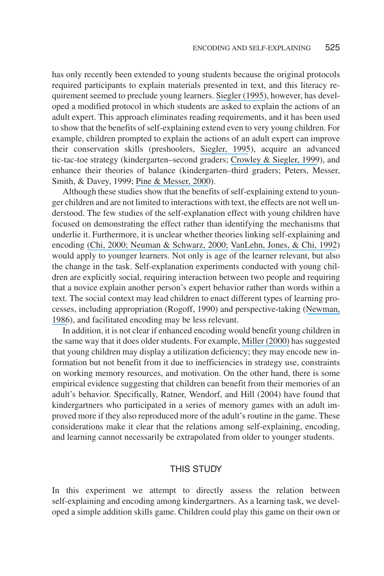has only recently been extended to young students because the original protocols required participants to explain materials presented in text, and this literacy requirement seemed to preclude young learners. Siegler (1995), however, has developed a modified protocol in which students are asked to explain the actions of an adult expert. This approach eliminates reading requirements, and it has been used to show that the benefits of self-explaining extend even to very young children. For example, children prompted to explain the actions of an adult expert can improve their conservation skills (preshoolers, Siegler, 1995), acquire an advanced tic-tac-toe strategy (kindergarten–second graders; Crowley & Siegler, 1999), and enhance their theories of balance (kindergarten–third graders; Peters, Messer, Smith, & Davey, 1999; Pine & Messer, 2000).

Although these studies show that the benefits of self-explaining extend to younger children and are not limited to interactions with text, the effects are not well understood. The few studies of the self-explanation effect with young children have focused on demonstrating the effect rather than identifying the mechanisms that underlie it. Furthermore, it is unclear whether theories linking self-explaining and encoding (Chi, 2000; Neuman & Schwarz, 2000; VanLehn, Jones, & Chi, 1992) would apply to younger learners. Not only is age of the learner relevant, but also the change in the task. Self-explanation experiments conducted with young children are explicitly social, requiring interaction between two people and requiring that a novice explain another person's expert behavior rather than words within a text. The social context may lead children to enact different types of learning processes, including appropriation (Rogoff, 1990) and perspective-taking (Newman, 1986), and facilitated encoding may be less relevant.

In addition, it is not clear if enhanced encoding would benefit young children in the same way that it does older students. For example, Miller (2000) has suggested that young children may display a utilization deficiency; they may encode new information but not benefit from it due to inefficiencies in strategy use, constraints on working memory resources, and motivation. On the other hand, there is some empirical evidence suggesting that children can benefit from their memories of an adult's behavior. Specifically, Ratner, Wendorf, and Hill (2004) have found that kindergartners who participated in a series of memory games with an adult improved more if they also reproduced more of the adult's routine in the game. These considerations make it clear that the relations among self-explaining, encoding, and learning cannot necessarily be extrapolated from older to younger students.

#### THIS STUDY

In this experiment we attempt to directly assess the relation between self-explaining and encoding among kindergartners. As a learning task, we developed a simple addition skills game. Children could play this game on their own or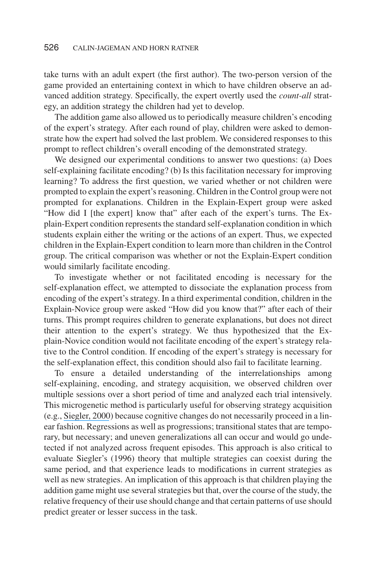take turns with an adult expert (the first author). The two-person version of the game provided an entertaining context in which to have children observe an advanced addition strategy. Specifically, the expert overtly used the *count-all* strategy, an addition strategy the children had yet to develop.

The addition game also allowed us to periodically measure children's encoding of the expert's strategy. After each round of play, children were asked to demonstrate how the expert had solved the last problem. We considered responses to this prompt to reflect children's overall encoding of the demonstrated strategy.

We designed our experimental conditions to answer two questions: (a) Does self-explaining facilitate encoding? (b) Is this facilitation necessary for improving learning? To address the first question, we varied whether or not children were prompted to explain the expert's reasoning. Children in the Control group were not prompted for explanations. Children in the Explain-Expert group were asked "How did I [the expert] know that" after each of the expert's turns. The Explain-Expert condition represents the standard self-explanation condition in which students explain either the writing or the actions of an expert. Thus, we expected children in the Explain-Expert condition to learn more than children in the Control group. The critical comparison was whether or not the Explain-Expert condition would similarly facilitate encoding.

To investigate whether or not facilitated encoding is necessary for the self-explanation effect, we attempted to dissociate the explanation process from encoding of the expert's strategy. In a third experimental condition, children in the Explain-Novice group were asked "How did you know that?" after each of their turns. This prompt requires children to generate explanations, but does not direct their attention to the expert's strategy. We thus hypothesized that the Explain-Novice condition would not facilitate encoding of the expert's strategy relative to the Control condition. If encoding of the expert's strategy is necessary for the self-explanation effect, this condition should also fail to facilitate learning.

To ensure a detailed understanding of the interrelationships among self-explaining, encoding, and strategy acquisition, we observed children over multiple sessions over a short period of time and analyzed each trial intensively. This microgenetic method is particularly useful for observing strategy acquisition (e.g., Siegler, 2000) because cognitive changes do not necessarily proceed in a linear fashion. Regressions as well as progressions; transitional states that are temporary, but necessary; and uneven generalizations all can occur and would go undetected if not analyzed across frequent episodes. This approach is also critical to evaluate Siegler's (1996) theory that multiple strategies can coexist during the same period, and that experience leads to modifications in current strategies as well as new strategies. An implication of this approach is that children playing the addition game might use several strategies but that, over the course of the study, the relative frequency of their use should change and that certain patterns of use should predict greater or lesser success in the task.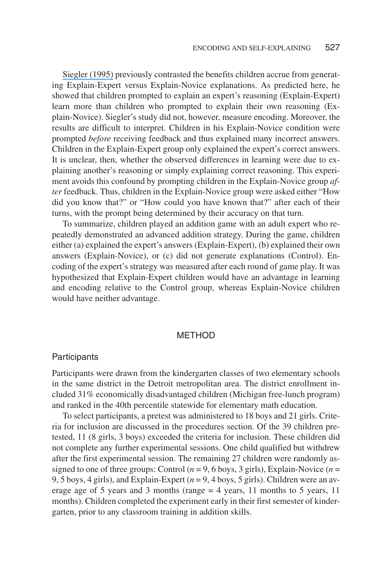Siegler (1995) previously contrasted the benefits children accrue from generating Explain-Expert versus Explain-Novice explanations. As predicted here, he showed that children prompted to explain an expert's reasoning (Explain-Expert) learn more than children who prompted to explain their own reasoning (Explain-Novice). Siegler's study did not, however, measure encoding. Moreover, the results are difficult to interpret. Children in his Explain-Novice condition were prompted *before* receiving feedback and thus explained many incorrect answers. Children in the Explain-Expert group only explained the expert's correct answers. It is unclear, then, whether the observed differences in learning were due to explaining another's reasoning or simply explaining correct reasoning. This experiment avoids this confound by prompting children in the Explain-Novice group *after* feedback. Thus, children in the Explain-Novice group were asked either "How did you know that?" or "How could you have known that?" after each of their turns, with the prompt being determined by their accuracy on that turn.

To summarize, children played an addition game with an adult expert who repeatedly demonstrated an advanced addition strategy. During the game, children either (a) explained the expert's answers (Explain-Expert), (b) explained their own answers (Explain-Novice), or (c) did not generate explanations (Control). Encoding of the expert's strategy was measured after each round of game play. It was hypothesized that Explain-Expert children would have an advantage in learning and encoding relative to the Control group, whereas Explain-Novice children would have neither advantage.

## METHOD

#### **Participants**

Participants were drawn from the kindergarten classes of two elementary schools in the same district in the Detroit metropolitan area. The district enrollment included 31% economically disadvantaged children (Michigan free-lunch program) and ranked in the 40th percentile statewide for elementary math education.

To select participants, a pretest was administered to 18 boys and 21 girls. Criteria for inclusion are discussed in the procedures section. Of the 39 children pretested, 11 (8 girls, 3 boys) exceeded the criteria for inclusion. These children did not complete any further experimental sessions. One child qualified but withdrew after the first experimental session. The remaining 27 children were randomly assigned to one of three groups: Control  $(n = 9, 6$  boys, 3 girls), Explain-Novice  $(n = 1, 1)$ 9, 5 boys, 4 girls), and Explain-Expert (*n* = 9, 4 boys, 5 girls). Children were an average age of 5 years and 3 months (range  $=$  4 years, 11 months to 5 years, 11 months). Children completed the experiment early in their first semester of kindergarten, prior to any classroom training in addition skills.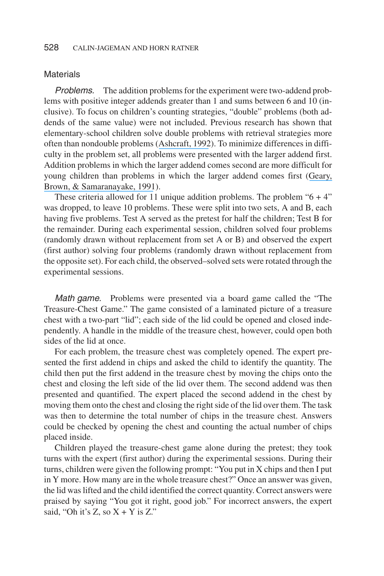#### **Materials**

Problems. The addition problems for the experiment were two-addend problems with positive integer addends greater than 1 and sums between 6 and 10 (inclusive). To focus on children's counting strategies, "double" problems (both addends of the same value) were not included. Previous research has shown that elementary-school children solve double problems with retrieval strategies more often than nondouble problems (Ashcraft, 1992). To minimize differences in difficulty in the problem set, all problems were presented with the larger addend first. Addition problems in which the larger addend comes second are more difficult for young children than problems in which the larger addend comes first (Geary, Brown, & Samaranayake, 1991).

These criteria allowed for 11 unique addition problems. The problem " $6 + 4$ " was dropped, to leave 10 problems. These were split into two sets, A and B, each having five problems. Test A served as the pretest for half the children; Test B for the remainder. During each experimental session, children solved four problems (randomly drawn without replacement from set A or B) and observed the expert (first author) solving four problems (randomly drawn without replacement from the opposite set). For each child, the observed–solved sets were rotated through the experimental sessions.

Math game. Problems were presented via a board game called the "The Treasure-Chest Game." The game consisted of a laminated picture of a treasure chest with a two-part "lid"; each side of the lid could be opened and closed independently. A handle in the middle of the treasure chest, however, could open both sides of the lid at once.

For each problem, the treasure chest was completely opened. The expert presented the first addend in chips and asked the child to identify the quantity. The child then put the first addend in the treasure chest by moving the chips onto the chest and closing the left side of the lid over them. The second addend was then presented and quantified. The expert placed the second addend in the chest by moving them onto the chest and closing the right side of the lid over them. The task was then to determine the total number of chips in the treasure chest. Answers could be checked by opening the chest and counting the actual number of chips placed inside.

Children played the treasure-chest game alone during the pretest; they took turns with the expert (first author) during the experimental sessions. During their turns, children were given the following prompt: "You put in X chips and then I put in Y more. How many are in the whole treasure chest?" Once an answer was given, the lid was lifted and the child identified the correct quantity. Correct answers were praised by saying "You got it right, good job." For incorrect answers, the expert said, "Oh it's Z, so  $X + Y$  is Z."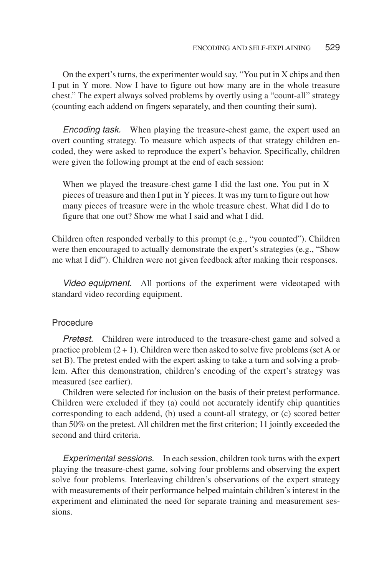On the expert's turns, the experimenter would say, "You put in X chips and then I put in Y more. Now I have to figure out how many are in the whole treasure chest." The expert always solved problems by overtly using a "count-all" strategy (counting each addend on fingers separately, and then counting their sum).

Encoding task. When playing the treasure-chest game, the expert used an overt counting strategy. To measure which aspects of that strategy children encoded, they were asked to reproduce the expert's behavior. Specifically, children were given the following prompt at the end of each session:

When we played the treasure-chest game I did the last one. You put in X pieces of treasure and then I put in Y pieces. It was my turn to figure out how many pieces of treasure were in the whole treasure chest. What did I do to figure that one out? Show me what I said and what I did.

Children often responded verbally to this prompt (e.g., "you counted"). Children were then encouraged to actually demonstrate the expert's strategies (e.g., "Show me what I did"). Children were not given feedback after making their responses.

Video equipment. All portions of the experiment were videotaped with standard video recording equipment.

#### Procedure

Pretest. Children were introduced to the treasure-chest game and solved a practice problem  $(2 + 1)$ . Children were then asked to solve five problems (set A or set B). The pretest ended with the expert asking to take a turn and solving a problem. After this demonstration, children's encoding of the expert's strategy was measured (see earlier).

Children were selected for inclusion on the basis of their pretest performance. Children were excluded if they (a) could not accurately identify chip quantities corresponding to each addend, (b) used a count-all strategy, or (c) scored better than 50% on the pretest. All children met the first criterion; 11 jointly exceeded the second and third criteria.

Experimental sessions. In each session, children took turns with the expert playing the treasure-chest game, solving four problems and observing the expert solve four problems. Interleaving children's observations of the expert strategy with measurements of their performance helped maintain children's interest in the experiment and eliminated the need for separate training and measurement sessions.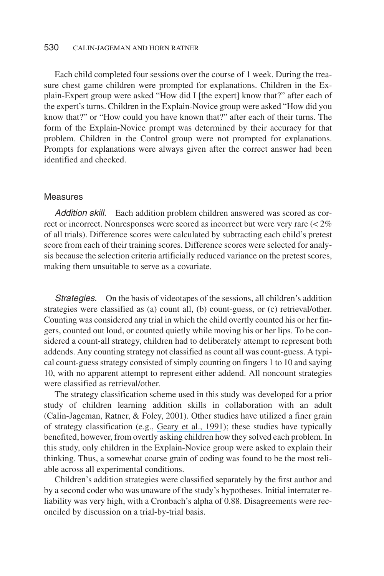#### 530 CALIN-JAGEMAN AND HORN RATNER

Each child completed four sessions over the course of 1 week. During the treasure chest game children were prompted for explanations. Children in the Explain-Expert group were asked "How did I [the expert] know that?" after each of the expert's turns. Children in the Explain-Novice group were asked "How did you know that?" or "How could you have known that?" after each of their turns. The form of the Explain-Novice prompt was determined by their accuracy for that problem. Children in the Control group were not prompted for explanations. Prompts for explanations were always given after the correct answer had been identified and checked.

#### Measures

Addition skill. Each addition problem children answered was scored as correct or incorrect. Nonresponses were scored as incorrect but were very rare  $\ll 2\%$ of all trials). Difference scores were calculated by subtracting each child's pretest score from each of their training scores. Difference scores were selected for analysis because the selection criteria artificially reduced variance on the pretest scores, making them unsuitable to serve as a covariate.

Strategies. On the basis of videotapes of the sessions, all children's addition strategies were classified as (a) count all, (b) count-guess, or (c) retrieval/other. Counting was considered any trial in which the child overtly counted his or her fingers, counted out loud, or counted quietly while moving his or her lips. To be considered a count-all strategy, children had to deliberately attempt to represent both addends. Any counting strategy not classified as count all was count-guess. A typical count-guess strategy consisted of simply counting on fingers 1 to 10 and saying 10, with no apparent attempt to represent either addend. All noncount strategies were classified as retrieval/other.

The strategy classification scheme used in this study was developed for a prior study of children learning addition skills in collaboration with an adult (Calin-Jageman, Ratner, & Foley, 2001). Other studies have utilized a finer grain of strategy classification (e.g., Geary et al., 1991); these studies have typically benefited, however, from overtly asking children how they solved each problem. In this study, only children in the Explain-Novice group were asked to explain their thinking. Thus, a somewhat coarse grain of coding was found to be the most reliable across all experimental conditions.

Children's addition strategies were classified separately by the first author and by a second coder who was unaware of the study's hypotheses. Initial interrater reliability was very high, with a Cronbach's alpha of 0.88. Disagreements were reconciled by discussion on a trial-by-trial basis.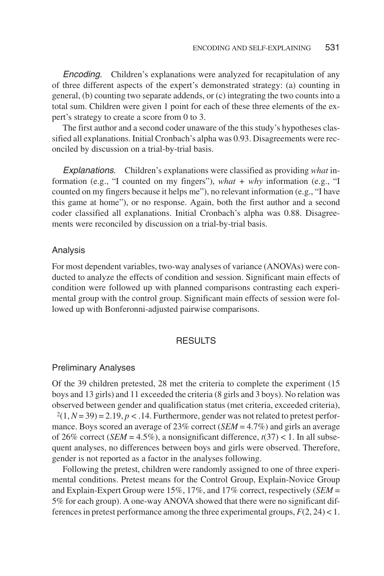Encoding. Children's explanations were analyzed for recapitulation of any of three different aspects of the expert's demonstrated strategy: (a) counting in general, (b) counting two separate addends, or (c) integrating the two counts into a total sum. Children were given 1 point for each of these three elements of the expert's strategy to create a score from 0 to 3.

The first author and a second coder unaware of the this study's hypotheses classified all explanations. Initial Cronbach's alpha was 0.93. Disagreements were reconciled by discussion on a trial-by-trial basis.

Explanations. Children's explanations were classified as providing *what* information (e.g., "I counted on my fingers"), *what + why* information (e.g., "I counted on my fingers because it helps me"), no relevant information (e.g., "I have this game at home"), or no response. Again, both the first author and a second coder classified all explanations. Initial Cronbach's alpha was 0.88. Disagreements were reconciled by discussion on a trial-by-trial basis.

#### Analysis

For most dependent variables, two-way analyses of variance (ANOVAs) were conducted to analyze the effects of condition and session. Significant main effects of condition were followed up with planned comparisons contrasting each experimental group with the control group. Significant main effects of session were followed up with Bonferonni-adjusted pairwise comparisons.

#### RESULTS

#### Preliminary Analyses

Of the 39 children pretested, 28 met the criteria to complete the experiment (15 boys and 13 girls) and 11 exceeded the criteria (8 girls and 3 boys). No relation was observed between gender and qualification status (met criteria, exceeded criteria),

 $2(1, N = 39) = 2.19, p < .14$ . Furthermore, gender was not related to pretest performance. Boys scored an average of 23% correct (*SEM* = 4.7%) and girls an average of 26% correct (*SEM* = 4.5%), a nonsignificant difference, *t*(37) < 1. In all subsequent analyses, no differences between boys and girls were observed. Therefore, gender is not reported as a factor in the analyses following.

Following the pretest, children were randomly assigned to one of three experimental conditions. Pretest means for the Control Group, Explain-Novice Group and Explain-Expert Group were 15%, 17%, and 17% correct, respectively (*SEM* = 5% for each group). A one-way ANOVA showed that there were no significant differences in pretest performance among the three experimental groups, *F*(2, 24) < 1.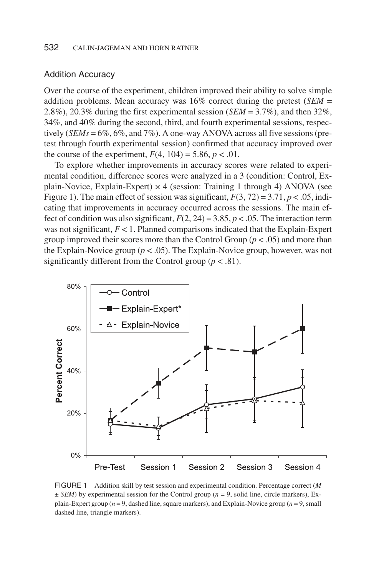#### Addition Accuracy

Over the course of the experiment, children improved their ability to solve simple addition problems. Mean accuracy was 16% correct during the pretest (*SEM* = 2.8%), 20.3% during the first experimental session (*SEM* = 3.7%), and then 32%, 34%, and 40% during the second, third, and fourth experimental sessions, respectively  $(SEMs = 6\%, 6\%, \text{ and } 7\%)$ . A one-way ANOVA across all five sessions (pretest through fourth experimental session) confirmed that accuracy improved over the course of the experiment,  $F(4, 104) = 5.86, p < .01$ .

To explore whether improvements in accuracy scores were related to experimental condition, difference scores were analyzed in a 3 (condition: Control, Explain-Novice, Explain-Expert)  $\times$  4 (session: Training 1 through 4) ANOVA (see Figure 1). The main effect of session was significant,  $F(3, 72) = 3.71$ ,  $p < .05$ , indicating that improvements in accuracy occurred across the sessions. The main effect of condition was also significant,  $F(2, 24) = 3.85$ ,  $p < .05$ . The interaction term was not significant, *F* < 1. Planned comparisons indicated that the Explain-Expert group improved their scores more than the Control Group  $(p < .05)$  and more than the Explain-Novice group ( $p < .05$ ). The Explain-Novice group, however, was not significantly different from the Control group ( $p < .81$ ).



FIGURE 1 Addition skill by test session and experimental condition. Percentage correct (*M*  $\pm$  *SEM*) by experimental session for the Control group ( $n = 9$ , solid line, circle markers), Explain-Expert group (*n* = 9, dashed line, square markers), and Explain-Novice group (*n* = 9, small dashed line, triangle markers).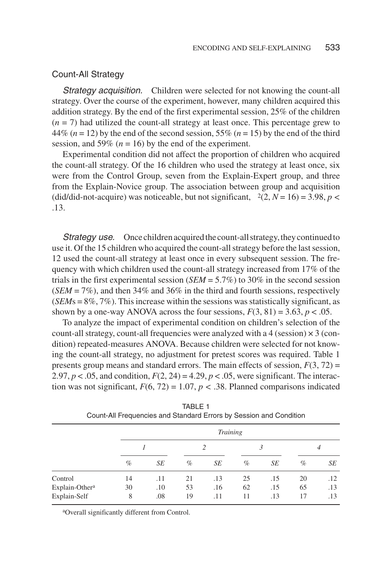## Count-All Strategy

**Strategy acquisition.** Children were selected for not knowing the count-all strategy. Over the course of the experiment, however, many children acquired this addition strategy. By the end of the first experimental session, 25% of the children  $(n = 7)$  had utilized the count-all strategy at least once. This percentage grew to 44% ( $n = 12$ ) by the end of the second session, 55% ( $n = 15$ ) by the end of the third session, and 59% ( $n = 16$ ) by the end of the experiment.

Experimental condition did not affect the proportion of children who acquired the count-all strategy. Of the 16 children who used the strategy at least once, six were from the Control Group, seven from the Explain-Expert group, and three from the Explain-Novice group. The association between group and acquisition (did/did-not-acquire) was noticeable, but not significant,  $^{2}(2, N=16) = 3.98, p <$ .13.

Strategy use. Once children acquired the count-all strategy, they continued to use it. Of the 15 children who acquired the count-all strategy before the last session, 12 used the count-all strategy at least once in every subsequent session. The frequency with which children used the count-all strategy increased from 17% of the trials in the first experimental session (*SEM* = 5.7%) to 30% in the second session (*SEM* = 7%), and then 34% and 36% in the third and fourth sessions, respectively (*SEM*s = 8%, 7%). This increase within the sessions was statistically significant, as shown by a one-way ANOVA across the four sessions,  $F(3, 81) = 3.63$ ,  $p < .05$ .

To analyze the impact of experimental condition on children's selection of the count-all strategy, count-all frequencies were analyzed with a 4 (session)  $\times$  3 (condition) repeated-measures ANOVA. Because children were selected for not knowing the count-all strategy, no adjustment for pretest scores was required. Table 1 presents group means and standard errors. The main effects of session,  $F(3, 72) =$ 2.97,  $p < .05$ , and condition,  $F(2, 24) = 4.29$ ,  $p < .05$ , were significant. The interaction was not significant,  $F(6, 72) = 1.07$ ,  $p < .38$ . Planned comparisons indicated

| . .      | -                 |          |            |          |                   |                |                   |  |  |  |
|----------|-------------------|----------|------------|----------|-------------------|----------------|-------------------|--|--|--|
|          | <b>Training</b>   |          |            |          |                   |                |                   |  |  |  |
|          |                   |          |            | 3        |                   | 4              |                   |  |  |  |
| $\%$     | SE                | $\%$     | SE         | $\%$     | SE                | $\%$           | SE                |  |  |  |
| 14<br>30 | .11<br>.10<br>.08 | 21<br>53 | .13<br>.16 | 25<br>62 | .15<br>.15<br>.13 | 20<br>65<br>17 | .12<br>.13<br>.13 |  |  |  |
|          | 8                 |          |            |          | 19<br>.11<br>11   |                |                   |  |  |  |

TABLE 1 Count-All Frequencies and Standard Errors by Session and Condition

<sup>a</sup>Overall significantly different from Control.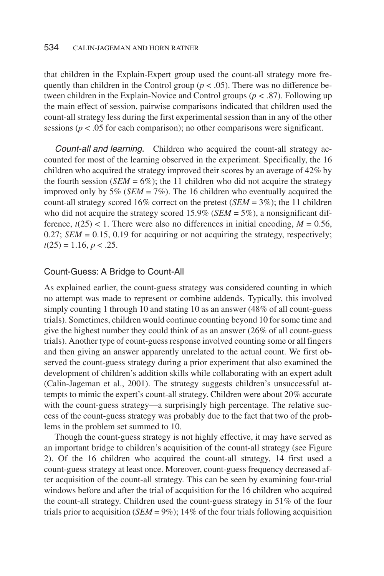that children in the Explain-Expert group used the count-all strategy more frequently than children in the Control group ( $p < .05$ ). There was no difference between children in the Explain-Novice and Control groups (*p <* .87). Following up the main effect of session, pairwise comparisons indicated that children used the count-all strategy less during the first experimental session than in any of the other sessions ( $p < .05$  for each comparison); no other comparisons were significant.

Count-all and learning. Children who acquired the count-all strategy accounted for most of the learning observed in the experiment. Specifically, the 16 children who acquired the strategy improved their scores by an average of 42% by the fourth session (*SEM* =  $6\%$ ); the 11 children who did not acquire the strategy improved only by  $5\%$  (*SEM* = 7%). The 16 children who eventually acquired the count-all strategy scored 16% correct on the pretest (*SEM* = 3%); the 11 children who did not acquire the strategy scored 15.9% (*SEM* = 5%), a nonsignificant difference,  $t(25)$  < 1. There were also no differences in initial encoding,  $M = 0.56$ ,  $0.27$ ; *SEM* = 0.15, 0.19 for acquiring or not acquiring the strategy, respectively;  $t(25) = 1.16, p < 0.25.$ 

#### Count-Guess: A Bridge to Count-All

As explained earlier, the count-guess strategy was considered counting in which no attempt was made to represent or combine addends. Typically, this involved simply counting 1 through 10 and stating 10 as an answer (48% of all count-guess trials). Sometimes, children would continue counting beyond 10 for some time and give the highest number they could think of as an answer (26% of all count-guess trials). Another type of count-guess response involved counting some or all fingers and then giving an answer apparently unrelated to the actual count. We first observed the count-guess strategy during a prior experiment that also examined the development of children's addition skills while collaborating with an expert adult (Calin-Jageman et al., 2001). The strategy suggests children's unsuccessful attempts to mimic the expert's count-all strategy. Children were about 20% accurate with the count-guess strategy—a surprisingly high percentage. The relative success of the count-guess strategy was probably due to the fact that two of the problems in the problem set summed to 10.

Though the count-guess strategy is not highly effective, it may have served as an important bridge to children's acquisition of the count-all strategy (see Figure 2). Of the 16 children who acquired the count-all strategy, 14 first used a count-guess strategy at least once. Moreover, count-guess frequency decreased after acquisition of the count-all strategy. This can be seen by examining four-trial windows before and after the trial of acquisition for the 16 children who acquired the count-all strategy. Children used the count-guess strategy in 51% of the four trials prior to acquisition (*SEM* = 9%); 14% of the four trials following acquisition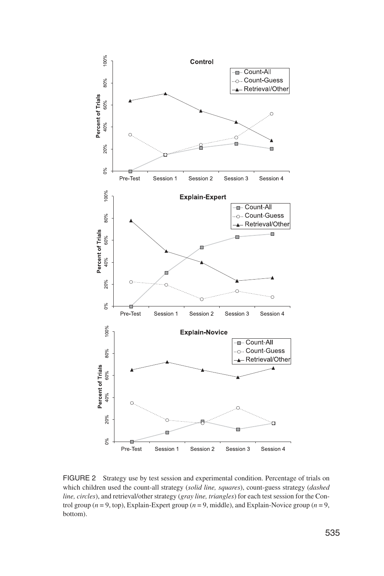

FIGURE 2 Strategy use by test session and experimental condition. Percentage of trials on which children used the count-all strategy (*solid line, squares*), count-guess strategy (*dashed line, circles*), and retrieval/other strategy (*gray line, triangles*) for each test session for the Control group (*n* = 9, top), Explain-Expert group (*n* = 9, middle), and Explain-Novice group (*n* = 9, bottom).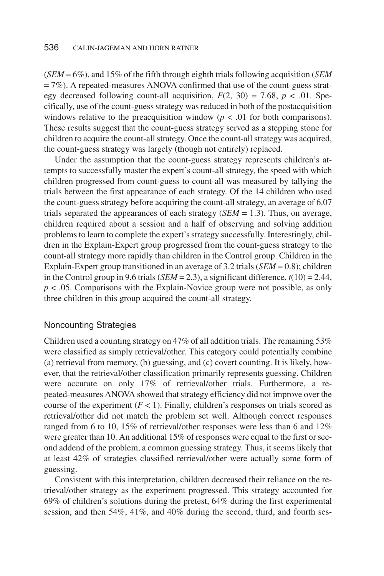(*SEM* = 6%), and 15% of the fifth through eighth trials following acquisition (*SEM*  $= 7\%$ ). A repeated-measures ANOVA confirmed that use of the count-guess strategy decreased following count-all acquisition,  $F(2, 30) = 7.68$ ,  $p < .01$ . Specifically, use of the count-guess strategy was reduced in both of the postacquisition windows relative to the preacquisition window  $(p < .01)$  for both comparisons). These results suggest that the count-guess strategy served as a stepping stone for children to acquire the count-all strategy. Once the count-all strategy was acquired, the count-guess strategy was largely (though not entirely) replaced.

Under the assumption that the count-guess strategy represents children's attempts to successfully master the expert's count-all strategy, the speed with which children progressed from count-guess to count-all was measured by tallying the trials between the first appearance of each strategy. Of the 14 children who used the count-guess strategy before acquiring the count-all strategy, an average of 6.07 trials separated the appearances of each strategy (*SEM* = 1.3). Thus, on average, children required about a session and a half of observing and solving addition problems to learn to complete the expert's strategy successfully. Interestingly, children in the Explain-Expert group progressed from the count-guess strategy to the count-all strategy more rapidly than children in the Control group. Children in the Explain-Expert group transitioned in an average of 3.2 trials (*SEM* = 0.8); children in the Control group in 9.6 trials (*SEM* = 2.3), a significant difference,  $t(10) = 2.44$ , *p* < .05. Comparisons with the Explain-Novice group were not possible, as only three children in this group acquired the count-all strategy.

#### Noncounting Strategies

Children used a counting strategy on 47% of all addition trials. The remaining 53% were classified as simply retrieval/other. This category could potentially combine (a) retrieval from memory, (b) guessing, and (c) covert counting. It is likely, however, that the retrieval/other classification primarily represents guessing. Children were accurate on only 17% of retrieval/other trials. Furthermore, a repeated-measures ANOVA showed that strategy efficiency did not improve over the course of the experiment  $(F < 1)$ . Finally, children's responses on trials scored as retrieval/other did not match the problem set well. Although correct responses ranged from 6 to 10, 15% of retrieval/other responses were less than 6 and 12% were greater than 10. An additional 15% of responses were equal to the first or second addend of the problem, a common guessing strategy. Thus, it seems likely that at least 42% of strategies classified retrieval/other were actually some form of guessing.

Consistent with this interpretation, children decreased their reliance on the retrieval/other strategy as the experiment progressed. This strategy accounted for 69% of children's solutions during the pretest, 64% during the first experimental session, and then 54%, 41%, and 40% during the second, third, and fourth ses-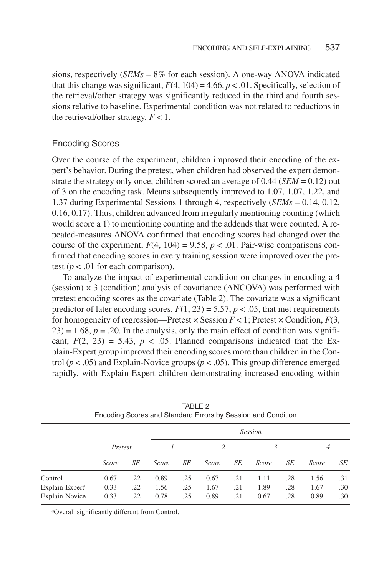sions, respectively (*SEMs* = 8% for each session). A one-way ANOVA indicated that this change was significant,  $F(4, 104) = 4.66$ ,  $p < .01$ . Specifically, selection of the retrieval/other strategy was significantly reduced in the third and fourth sessions relative to baseline. Experimental condition was not related to reductions in the retrieval/other strategy,  $F < 1$ .

#### Encoding Scores

Over the course of the experiment, children improved their encoding of the expert's behavior. During the pretest, when children had observed the expert demonstrate the strategy only once, children scored an average of 0.44 (*SEM* = 0.12) out of 3 on the encoding task. Means subsequently improved to 1.07, 1.07, 1.22, and 1.37 during Experimental Sessions 1 through 4, respectively (*SEMs* = 0.14, 0.12, 0.16, 0.17). Thus, children advanced from irregularly mentioning counting (which would score a 1) to mentioning counting and the addends that were counted. A repeated-measures ANOVA confirmed that encoding scores had changed over the course of the experiment,  $F(4, 104) = 9.58$ ,  $p < .01$ . Pair-wise comparisons confirmed that encoding scores in every training session were improved over the pretest ( $p < .01$  for each comparison).

To analyze the impact of experimental condition on changes in encoding a 4  $(session) \times 3$  (condition) analysis of covariance (ANCOVA) was performed with pretest encoding scores as the covariate (Table 2). The covariate was a significant predictor of later encoding scores,  $F(1, 23) = 5.57$ ,  $p < .05$ , that met requirements for homogeneity of regression—Pretest  $\times$  Session  $F < 1$ ; Pretest  $\times$  Condition,  $F(3)$ ,  $23$ ) = 1.68,  $p = 0.20$ . In the analysis, only the main effect of condition was significant,  $F(2, 23) = 5.43$ ,  $p < .05$ . Planned comparisons indicated that the Explain-Expert group improved their encoding scores more than children in the Control ( $p < .05$ ) and Explain-Novice groups ( $p < .05$ ). This group difference emerged rapidly, with Explain-Expert children demonstrating increased encoding within

|                             | <b>Session</b> |     |       |     |       |     |       |     |       |     |  |
|-----------------------------|----------------|-----|-------|-----|-------|-----|-------|-----|-------|-----|--|
|                             | Pretest        |     |       |     |       |     | 3     |     | 4     |     |  |
|                             | Score          | SЕ  | Score | SЕ  | Score | SЕ  | Score | SЕ  | Score | SE  |  |
| Control                     | 0.67           | .22 | 0.89  | .25 | 0.67  | .21 | 1.11  | .28 | 1.56  | .31 |  |
| Explain-Expert <sup>a</sup> | 0.33           | .22 | 1.56  | .25 | 1.67  | .21 | 1.89  | .28 | 1.67  | .30 |  |
| Explain-Novice              | 0.33           | .22 | 0.78  | .25 | 0.89  | .21 | 0.67  | .28 | 0.89  | .30 |  |

TABLE 2 Encoding Scores and Standard Errors by Session and Condition

<sup>a</sup>Overall significantly different from Control.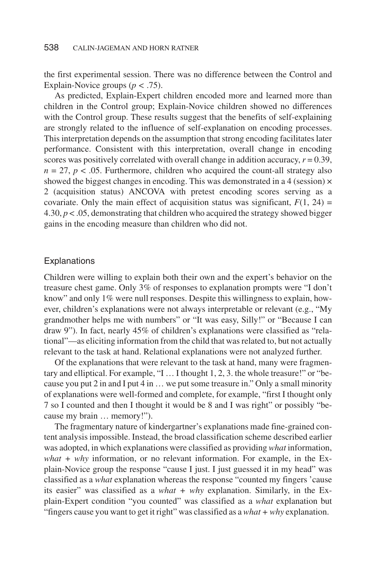the first experimental session. There was no difference between the Control and Explain-Novice groups (*p <* .75).

As predicted, Explain-Expert children encoded more and learned more than children in the Control group; Explain-Novice children showed no differences with the Control group. These results suggest that the benefits of self-explaining are strongly related to the influence of self-explanation on encoding processes. This interpretation depends on the assumption that strong encoding facilitates later performance. Consistent with this interpretation, overall change in encoding scores was positively correlated with overall change in addition accuracy, *r* = 0.39,  $n = 27$ ,  $p < .05$ . Furthermore, children who acquired the count-all strategy also showed the biggest changes in encoding. This was demonstrated in a 4 (session)  $\times$ 2 (acquisition status) ANCOVA with pretest encoding scores serving as a covariate. Only the main effect of acquisition status was significant,  $F(1, 24) =$  $4.30, p < 0.05$ , demonstrating that children who acquired the strategy showed bigger gains in the encoding measure than children who did not.

#### Explanations

Children were willing to explain both their own and the expert's behavior on the treasure chest game. Only 3% of responses to explanation prompts were "I don't know" and only 1% were null responses. Despite this willingness to explain, however, children's explanations were not always interpretable or relevant (e.g., "My grandmother helps me with numbers" or "It was easy, Silly!" or "Because I can draw 9"). In fact, nearly 45% of children's explanations were classified as "relational"—as eliciting information from the child that was related to, but not actually relevant to the task at hand. Relational explanations were not analyzed further.

Of the explanations that were relevant to the task at hand, many were fragmentary and elliptical. For example, "I … I thought 1, 2, 3. the whole treasure!" or "because you put 2 in and I put 4 in … we put some treasure in." Only a small minority of explanations were well-formed and complete, for example, "first I thought only 7 so I counted and then I thought it would be 8 and I was right" or possibly "because my brain … memory!").

The fragmentary nature of kindergartner's explanations made fine-grained content analysis impossible. Instead, the broad classification scheme described earlier was adopted, in which explanations were classified as providing *what* information, *what + why* information, or no relevant information. For example, in the Explain-Novice group the response "cause I just. I just guessed it in my head" was classified as a *what* explanation whereas the response "counted my fingers 'cause its easier" was classified as a *what + why* explanation. Similarly, in the Explain-Expert condition "you counted" was classified as a *what* explanation but "fingers cause you want to get it right" was classified as a *what + why* explanation.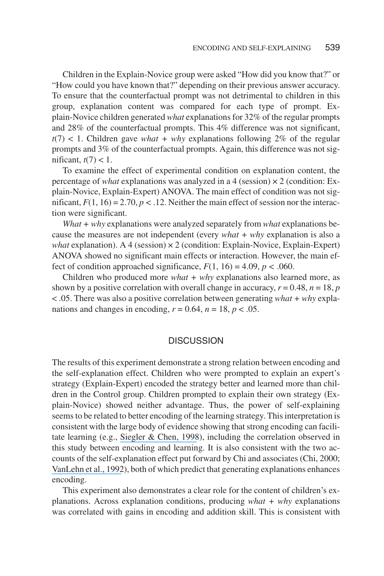Children in the Explain-Novice group were asked "How did you know that?" or "How could you have known that?" depending on their previous answer accuracy. To ensure that the counterfactual prompt was not detrimental to children in this group, explanation content was compared for each type of prompt. Explain-Novice children generated *what* explanations for 32% of the regular prompts and 28% of the counterfactual prompts. This 4% difference was not significant,  $t(7)$  < 1. Children gave *what* + *why* explanations following 2% of the regular prompts and 3% of the counterfactual prompts. Again, this difference was not significant,  $t(7) < 1$ .

To examine the effect of experimental condition on explanation content, the percentage of *what* explanations was analyzed in a 4 (session) × 2 (condition: Explain-Novice, Explain-Expert) ANOVA. The main effect of condition was not significant,  $F(1, 16) = 2.70$ ,  $p < 0.12$ . Neither the main effect of session nor the interaction were significant.

*What + why* explanations were analyzed separately from *what* explanations because the measures are not independent (every *what + why* explanation is also a *what* explanation). A 4 (session) × 2 (condition: Explain-Novice, Explain-Expert) ANOVA showed no significant main effects or interaction. However, the main effect of condition approached significance,  $F(1, 16) = 4.09$ ,  $p < .060$ .

Children who produced more *what + why* explanations also learned more, as shown by a positive correlation with overall change in accuracy,  $r = 0.48$ ,  $n = 18$ ,  $p$ < .05. There was also a positive correlation between generating *what + why* explanations and changes in encoding,  $r = 0.64$ ,  $n = 18$ ,  $p < .05$ .

#### **DISCUSSION**

The results of this experiment demonstrate a strong relation between encoding and the self-explanation effect. Children who were prompted to explain an expert's strategy (Explain-Expert) encoded the strategy better and learned more than children in the Control group. Children prompted to explain their own strategy (Explain-Novice) showed neither advantage. Thus, the power of self-explaining seems to be related to better encoding of the learning strategy. This interpretation is consistent with the large body of evidence showing that strong encoding can facilitate learning (e.g., Siegler & Chen, 1998), including the correlation observed in this study between encoding and learning. It is also consistent with the two accounts of the self-explanation effect put forward by Chi and associates (Chi, 2000; VanLehn et al., 1992), both of which predict that generating explanations enhances encoding.

This experiment also demonstrates a clear role for the content of children's explanations. Across explanation conditions, producing *what + why* explanations was correlated with gains in encoding and addition skill. This is consistent with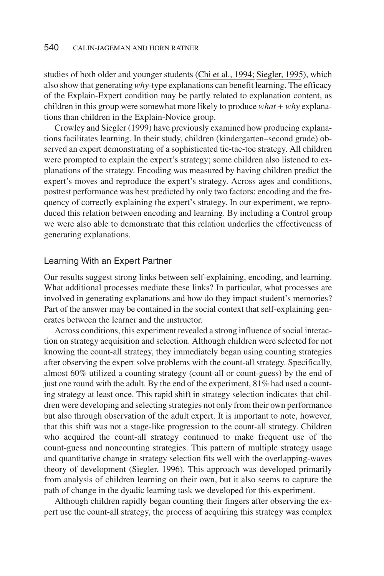studies of both older and younger students (Chi et al., 1994; Siegler, 1995), which also show that generating *why*-type explanations can benefit learning. The efficacy of the Explain-Expert condition may be partly related to explanation content, as children in this group were somewhat more likely to produce *what + why* explanations than children in the Explain-Novice group.

Crowley and Siegler (1999) have previously examined how producing explanations facilitates learning. In their study, children (kindergarten–second grade) observed an expert demonstrating of a sophisticated tic-tac-toe strategy. All children were prompted to explain the expert's strategy; some children also listened to explanations of the strategy. Encoding was measured by having children predict the expert's moves and reproduce the expert's strategy. Across ages and conditions, posttest performance was best predicted by only two factors: encoding and the frequency of correctly explaining the expert's strategy. In our experiment, we reproduced this relation between encoding and learning. By including a Control group we were also able to demonstrate that this relation underlies the effectiveness of generating explanations.

# Learning With an Expert Partner

Our results suggest strong links between self-explaining, encoding, and learning. What additional processes mediate these links? In particular, what processes are involved in generating explanations and how do they impact student's memories? Part of the answer may be contained in the social context that self-explaining generates between the learner and the instructor.

Across conditions, this experiment revealed a strong influence of social interaction on strategy acquisition and selection. Although children were selected for not knowing the count-all strategy, they immediately began using counting strategies after observing the expert solve problems with the count-all strategy. Specifically, almost 60% utilized a counting strategy (count-all or count-guess) by the end of just one round with the adult. By the end of the experiment, 81% had used a counting strategy at least once. This rapid shift in strategy selection indicates that children were developing and selecting strategies not only from their own performance but also through observation of the adult expert. It is important to note, however, that this shift was not a stage-like progression to the count-all strategy. Children who acquired the count-all strategy continued to make frequent use of the count-guess and noncounting strategies. This pattern of multiple strategy usage and quantitative change in strategy selection fits well with the overlapping-waves theory of development (Siegler, 1996). This approach was developed primarily from analysis of children learning on their own, but it also seems to capture the path of change in the dyadic learning task we developed for this experiment.

Although children rapidly began counting their fingers after observing the expert use the count-all strategy, the process of acquiring this strategy was complex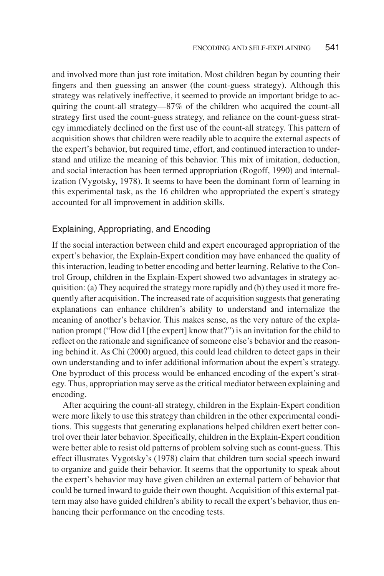and involved more than just rote imitation. Most children began by counting their fingers and then guessing an answer (the count-guess strategy). Although this strategy was relatively ineffective, it seemed to provide an important bridge to acquiring the count-all strategy—87% of the children who acquired the count-all strategy first used the count-guess strategy, and reliance on the count-guess strategy immediately declined on the first use of the count-all strategy. This pattern of acquisition shows that children were readily able to acquire the external aspects of the expert's behavior, but required time, effort, and continued interaction to understand and utilize the meaning of this behavior. This mix of imitation, deduction, and social interaction has been termed appropriation (Rogoff, 1990) and internalization (Vygotsky, 1978). It seems to have been the dominant form of learning in this experimental task, as the 16 children who appropriated the expert's strategy accounted for all improvement in addition skills.

#### Explaining, Appropriating, and Encoding

If the social interaction between child and expert encouraged appropriation of the expert's behavior, the Explain-Expert condition may have enhanced the quality of this interaction, leading to better encoding and better learning. Relative to the Control Group, children in the Explain-Expert showed two advantages in strategy acquisition: (a) They acquired the strategy more rapidly and (b) they used it more frequently after acquisition. The increased rate of acquisition suggests that generating explanations can enhance children's ability to understand and internalize the meaning of another's behavior. This makes sense, as the very nature of the explanation prompt ("How did I [the expert] know that?") is an invitation for the child to reflect on the rationale and significance of someone else's behavior and the reasoning behind it. As Chi (2000) argued, this could lead children to detect gaps in their own understanding and to infer additional information about the expert's strategy. One byproduct of this process would be enhanced encoding of the expert's strategy. Thus, appropriation may serve as the critical mediator between explaining and encoding.

After acquiring the count-all strategy, children in the Explain-Expert condition were more likely to use this strategy than children in the other experimental conditions. This suggests that generating explanations helped children exert better control over their later behavior. Specifically, children in the Explain-Expert condition were better able to resist old patterns of problem solving such as count-guess. This effect illustrates Vygotsky's (1978) claim that children turn social speech inward to organize and guide their behavior. It seems that the opportunity to speak about the expert's behavior may have given children an external pattern of behavior that could be turned inward to guide their own thought. Acquisition of this external pattern may also have guided children's ability to recall the expert's behavior, thus enhancing their performance on the encoding tests.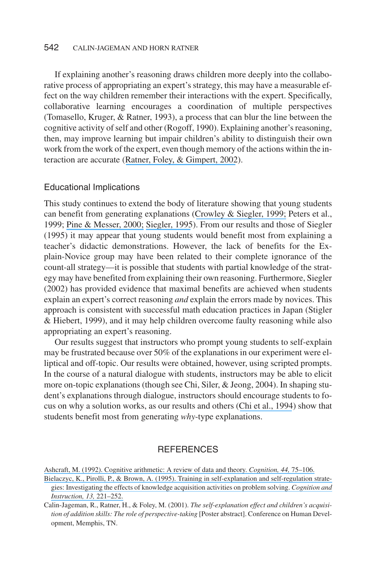#### 542 CALIN-JAGEMAN AND HORN RATNER

If explaining another's reasoning draws children more deeply into the collaborative process of appropriating an expert's strategy, this may have a measurable effect on the way children remember their interactions with the expert. Specifically, collaborative learning encourages a coordination of multiple perspectives (Tomasello, Kruger, & Ratner, 1993), a process that can blur the line between the cognitive activity of self and other (Rogoff, 1990). Explaining another's reasoning, then, may improve learning but impair children's ability to distinguish their own work from the work of the expert, even though memory of the actions within the interaction are accurate (Ratner, Foley, & Gimpert, 2002).

#### Educational Implications

This study continues to extend the body of literature showing that young students can benefit from generating explanations (Crowley & Siegler, 1999; Peters et al., 1999; Pine & Messer, 2000; Siegler, 1995). From our results and those of Siegler (1995) it may appear that young students would benefit most from explaining a teacher's didactic demonstrations. However, the lack of benefits for the Explain-Novice group may have been related to their complete ignorance of the count-all strategy—it is possible that students with partial knowledge of the strategy may have benefited from explaining their own reasoning. Furthermore, Siegler (2002) has provided evidence that maximal benefits are achieved when students explain an expert's correct reasoning *and* explain the errors made by novices. This approach is consistent with successful math education practices in Japan (Stigler & Hiebert, 1999), and it may help children overcome faulty reasoning while also appropriating an expert's reasoning.

Our results suggest that instructors who prompt young students to self-explain may be frustrated because over 50% of the explanations in our experiment were elliptical and off-topic. Our results were obtained, however, using scripted prompts. In the course of a natural dialogue with students, instructors may be able to elicit more on-topic explanations (though see Chi, Siler, & Jeong, 2004). In shaping student's explanations through dialogue, instructors should encourage students to focus on why a solution works, as our results and others (Chi et al., 1994) show that students benefit most from generating *why*-type explanations.

# **REFERENCES**

Bielaczyc, K., Pirolli, P., & Brown, A. (1995). Training in self-explanation and self-regulation strategies: Investigating the effects of knowledge acquisition activities on problem solving. *Cognition and Instruction, 13,* 221–252.

Ashcraft, M. (1992). Cognitive arithmetic: A review of data and theory. *Cognition, 44,* 75–106.

Calin-Jageman, R., Ratner, H., & Foley, M. (2001). *The self-explanation effect and children's acquisition of addition skills: The role of perspective-taking* [Poster abstract]. Conference on Human Development, Memphis, TN.